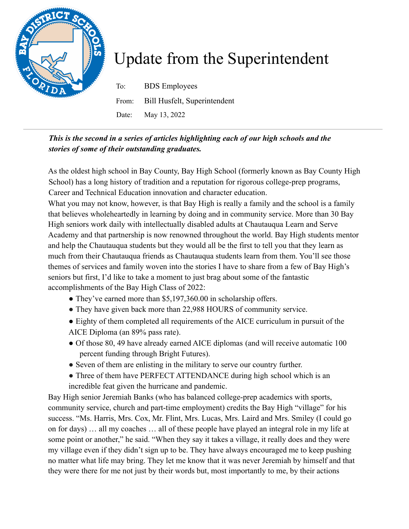

## Update from the Superintendent

To: BDS Employees From: Bill Husfelt, Superintendent Date: May 13, 2022

## *This is the second in a series of articles highlighting each of our high schools and the stories of some of their outstanding graduates.*

As the oldest high school in Bay County, Bay High School (formerly known as Bay County High School) has a long history of tradition and a reputation for rigorous college-prep programs, Career and Technical Education innovation and character education.

What you may not know, however, is that Bay High is really a family and the school is a family that believes wholeheartedly in learning by doing and in community service. More than 30 Bay High seniors work daily with intellectually disabled adults at Chautauqua Learn and Serve Academy and that partnership is now renowned throughout the world. Bay High students mentor and help the Chautauqua students but they would all be the first to tell you that they learn as much from their Chautauqua friends as Chautauqua students learn from them. You'll see those themes of services and family woven into the stories I have to share from a few of Bay High's seniors but first, I'd like to take a moment to just brag about some of the fantastic accomplishments of the Bay High Class of 2022:

- They've earned more than \$5,197,360.00 in scholarship offers.
- They have given back more than 22,988 HOURS of community service.
- Eighty of them completed all requirements of the AICE curriculum in pursuit of the AICE Diploma (an 89% pass rate).
- Of those 80, 49 have already earned AICE diplomas (and will receive automatic 100 percent funding through Bright Futures).
- Seven of them are enlisting in the military to serve our country further.
- Three of them have PERFECT ATTENDANCE during high school which is an incredible feat given the hurricane and pandemic.

Bay High senior Jeremiah Banks (who has balanced college-prep academics with sports, community service, church and part-time employment) credits the Bay High "village" for his success. "Ms. Harris, Mrs. Cox, Mr. Flint, Mrs. Lucas, Mrs. Laird and Mrs. Smiley (I could go on for days) … all my coaches … all of these people have played an integral role in my life at some point or another," he said. "When they say it takes a village, it really does and they were my village even if they didn't sign up to be. They have always encouraged me to keep pushing no matter what life may bring. They let me know that it was never Jeremiah by himself and that they were there for me not just by their words but, most importantly to me, by their actions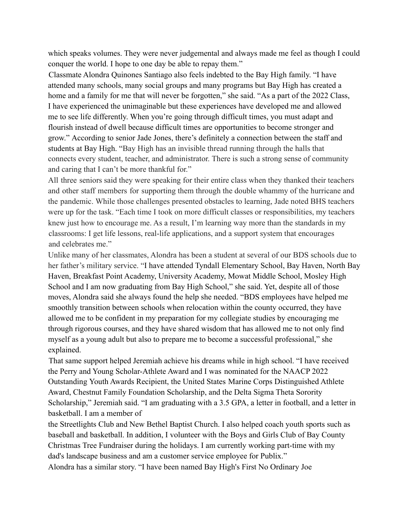which speaks volumes. They were never judgemental and always made me feel as though I could conquer the world. I hope to one day be able to repay them."

Classmate Alondra Quinones Santiago also feels indebted to the Bay High family. "I have attended many schools, many social groups and many programs but Bay High has created a home and a family for me that will never be forgotten," she said. "As a part of the 2022 Class, I have experienced the unimaginable but these experiences have developed me and allowed me to see life differently. When you're going through difficult times, you must adapt and flourish instead of dwell because difficult times are opportunities to become stronger and grow." According to senior Jade Jones, there's definitely a connection between the staff and students at Bay High. "Bay High has an invisible thread running through the halls that connects every student, teacher, and administrator. There is such a strong sense of community and caring that I can't be more thankful for."

All three seniors said they were speaking for their entire class when they thanked their teachers and other staff members for supporting them through the double whammy of the hurricane and the pandemic. While those challenges presented obstacles to learning, Jade noted BHS teachers were up for the task. "Each time I took on more difficult classes or responsibilities, my teachers knew just how to encourage me. As a result, I'm learning way more than the standards in my classrooms: I get life lessons, real-life applications, and a support system that encourages and celebrates me."

Unlike many of her classmates, Alondra has been a student at several of our BDS schools due to her father's military service. "I have attended Tyndall Elementary School, Bay Haven, North Bay Haven, Breakfast Point Academy, University Academy, Mowat Middle School, Mosley High School and I am now graduating from Bay High School," she said. Yet, despite all of those moves, Alondra said she always found the help she needed. "BDS employees have helped me smoothly transition between schools when relocation within the county occurred, they have allowed me to be confident in my preparation for my collegiate studies by encouraging me through rigorous courses, and they have shared wisdom that has allowed me to not only find myself as a young adult but also to prepare me to become a successful professional," she explained.

That same support helped Jeremiah achieve his dreams while in high school. "I have received the Perry and Young Scholar-Athlete Award and I was nominated for the NAACP 2022 Outstanding Youth Awards Recipient, the United States Marine Corps Distinguished Athlete Award, Chestnut Family Foundation Scholarship, and the Delta Sigma Theta Sorority Scholarship," Jeremiah said. "I am graduating with a 3.5 GPA, a letter in football, and a letter in basketball. I am a member of

the Streetlights Club and New Bethel Baptist Church. I also helped coach youth sports such as baseball and basketball. In addition, I volunteer with the Boys and Girls Club of Bay County Christmas Tree Fundraiser during the holidays. I am currently working part-time with my dad's landscape business and am a customer service employee for Publix."

Alondra has a similar story. "I have been named Bay High's First No Ordinary Joe